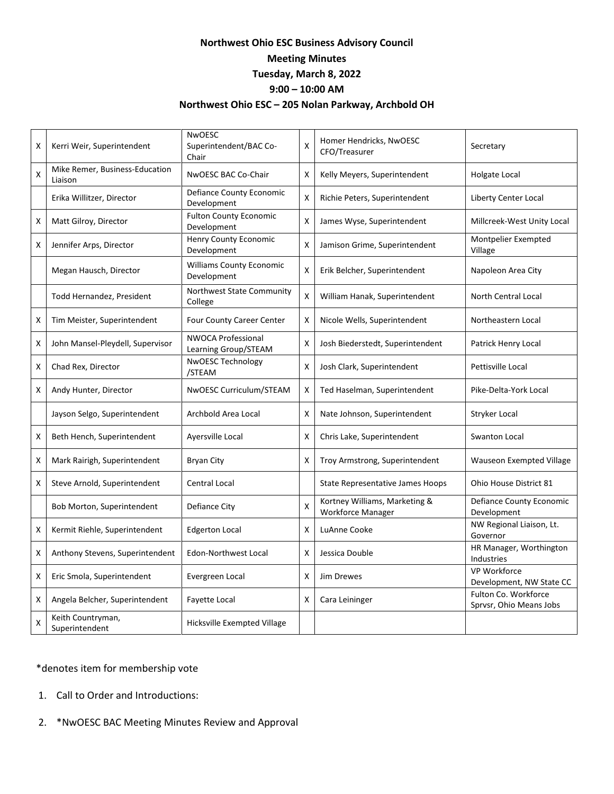## **Northwest Ohio ESC Business Advisory Council Meeting Minutes Tuesday, March 8, 2022 9:00 – 10:00 AM**

## **Northwest Ohio ESC – 205 Nolan Parkway, Archbold OH**

| X | Kerri Weir, Superintendent                | <b>NwOESC</b><br>Superintendent/BAC Co-<br>Chair  | X | Homer Hendricks, NwOESC<br>CFO/Treasurer           | Secretary                                       |
|---|-------------------------------------------|---------------------------------------------------|---|----------------------------------------------------|-------------------------------------------------|
| X | Mike Remer, Business-Education<br>Liaison | NwOESC BAC Co-Chair                               | X | Kelly Meyers, Superintendent                       | Holgate Local                                   |
|   | Erika Willitzer, Director                 | Defiance County Economic<br>Development           | X | Richie Peters, Superintendent                      | Liberty Center Local                            |
| X | Matt Gilroy, Director                     | <b>Fulton County Economic</b><br>Development      | X | James Wyse, Superintendent                         | Millcreek-West Unity Local                      |
| X | Jennifer Arps, Director                   | <b>Henry County Economic</b><br>Development       | X | Jamison Grime, Superintendent                      | Montpelier Exempted<br>Village                  |
|   | Megan Hausch, Director                    | <b>Williams County Economic</b><br>Development    | X | Erik Belcher, Superintendent                       | Napoleon Area City                              |
|   | Todd Hernandez, President                 | Northwest State Community<br>College              | X | William Hanak, Superintendent                      | <b>North Central Local</b>                      |
| х | Tim Meister, Superintendent               | <b>Four County Career Center</b>                  | X | Nicole Wells, Superintendent                       | Northeastern Local                              |
| X | John Mansel-Pleydell, Supervisor          | <b>NWOCA Professional</b><br>Learning Group/STEAM | X | Josh Biederstedt, Superintendent                   | Patrick Henry Local                             |
| X | Chad Rex, Director                        | <b>NWOESC Technology</b><br>/STEAM                | X | Josh Clark, Superintendent                         | Pettisville Local                               |
| X | Andy Hunter, Director                     | NwOESC Curriculum/STEAM                           | Χ | Ted Haselman, Superintendent                       | Pike-Delta-York Local                           |
|   | Jayson Selgo, Superintendent              | Archbold Area Local                               | Χ | Nate Johnson, Superintendent                       | Stryker Local                                   |
| х | Beth Hench, Superintendent                | Ayersville Local                                  | X | Chris Lake, Superintendent                         | <b>Swanton Local</b>                            |
| X | Mark Rairigh, Superintendent              | <b>Bryan City</b>                                 | X | Troy Armstrong, Superintendent                     | <b>Wauseon Exempted Village</b>                 |
| X | Steve Arnold, Superintendent              | <b>Central Local</b>                              |   | <b>State Representative James Hoops</b>            | Ohio House District 81                          |
|   | Bob Morton, Superintendent                | Defiance City                                     | X | Kortney Williams, Marketing &<br>Workforce Manager | Defiance County Economic<br>Development         |
| X | Kermit Riehle, Superintendent             | <b>Edgerton Local</b>                             | x | LuAnne Cooke                                       | NW Regional Liaison, Lt.<br>Governor            |
| X | Anthony Stevens, Superintendent           | Edon-Northwest Local                              | х | Jessica Double                                     | HR Manager, Worthington<br>Industries           |
| X | Eric Smola, Superintendent                | Evergreen Local                                   | X | Jim Drewes                                         | VP Workforce<br>Development, NW State CC        |
| X | Angela Belcher, Superintendent            | Fayette Local                                     | Χ | Cara Leininger                                     | Fulton Co. Workforce<br>Sprvsr, Ohio Means Jobs |
| X | Keith Countryman,<br>Superintendent       | Hicksville Exempted Village                       |   |                                                    |                                                 |

## \*denotes item for membership vote

- 1. Call to Order and Introductions:
- 2. \*NwOESC BAC Meeting Minutes Review and Approval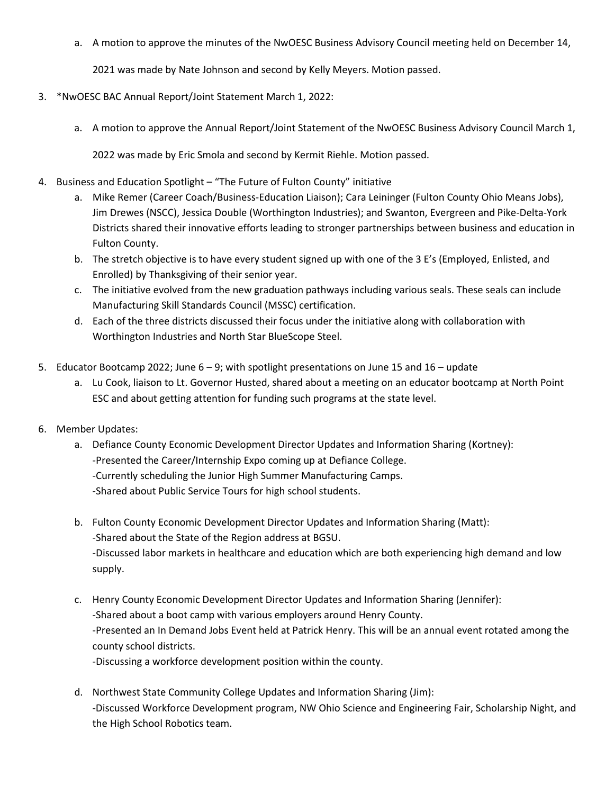a. A motion to approve the minutes of the NwOESC Business Advisory Council meeting held on December 14,

2021 was made by Nate Johnson and second by Kelly Meyers. Motion passed.

- 3. \*NwOESC BAC Annual Report/Joint Statement March 1, 2022:
	- a. A motion to approve the Annual Report/Joint Statement of the NwOESC Business Advisory Council March 1,

2022 was made by Eric Smola and second by Kermit Riehle. Motion passed.

- 4. Business and Education Spotlight "The Future of Fulton County" initiative
	- a. Mike Remer (Career Coach/Business-Education Liaison); Cara Leininger (Fulton County Ohio Means Jobs), Jim Drewes (NSCC), Jessica Double (Worthington Industries); and Swanton, Evergreen and Pike-Delta-York Districts shared their innovative efforts leading to stronger partnerships between business and education in Fulton County.
	- b. The stretch objective is to have every student signed up with one of the 3 E's (Employed, Enlisted, and Enrolled) by Thanksgiving of their senior year.
	- c. The initiative evolved from the new graduation pathways including various seals. These seals can include Manufacturing Skill Standards Council (MSSC) certification.
	- d. Each of the three districts discussed their focus under the initiative along with collaboration with Worthington Industries and North Star BlueScope Steel.
- 5. Educator Bootcamp 2022; June  $6 9$ ; with spotlight presentations on June 15 and  $16 -$ update
	- a. Lu Cook, liaison to Lt. Governor Husted, shared about a meeting on an educator bootcamp at North Point ESC and about getting attention for funding such programs at the state level.
- 6. Member Updates:
	- a. Defiance County Economic Development Director Updates and Information Sharing (Kortney): -Presented the Career/Internship Expo coming up at Defiance College. -Currently scheduling the Junior High Summer Manufacturing Camps. -Shared about Public Service Tours for high school students.
	- b. Fulton County Economic Development Director Updates and Information Sharing (Matt): -Shared about the State of the Region address at BGSU. -Discussed labor markets in healthcare and education which are both experiencing high demand and low supply.
	- c. Henry County Economic Development Director Updates and Information Sharing (Jennifer): -Shared about a boot camp with various employers around Henry County. -Presented an In Demand Jobs Event held at Patrick Henry. This will be an annual event rotated among the county school districts. -Discussing a workforce development position within the county.
		-
	- d. Northwest State Community College Updates and Information Sharing (Jim): -Discussed Workforce Development program, NW Ohio Science and Engineering Fair, Scholarship Night, and the High School Robotics team.